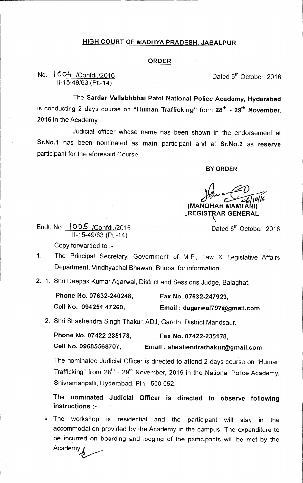## **HIGH COURT OF MADHYA PRADESH, JABALPUR**

## **ORDER**

## No.  $1004$  /Confdl./2016 **Dated 6th October, 2016** 11-15-49/63 (Pt.-14)

The **Sardar Vallabhbhai Patel National Police Academy, Hyderabad**  is conducting 2 days course on "Human Trafficking" from 28<sup>th</sup> - 29<sup>th</sup> November, **2016** in the Academy.

Judicial officer whose name has been shown in the endorsement at **Sr.No.1** has been nominated as **main** participant and at **Sr.No.2** as **reserve**  participant for the aforesaid Course.

**BY ORDER** 

**(MANOHAR MAMTANI) ,REGIST AR GENERAL** 

Endt. No.  $1005$  /Confdl./2016 11-15-49/63 (Pt.-14)

Copy forwarded to :-

- 1. The Principal Secretary, Government of M.P., Law & Legislative Affairs Department, Vindhyachal Bhawan, Bhopal for information.
- 2. 1. Shri Deepak Kumar Agarwal, District and Sessions Judge, Balaghat.

| Phone No. 07632-240248. | Fax No. 07632-247923,        |
|-------------------------|------------------------------|
| Cell No. 094254 47260,  | Email: dagarwal797@gmail.com |

2. Shri Shashendra Singh Thakur, ADJ, Garoth, District Mandsaur.

| Phone No. 07422-235178, | Fax No. 07422-235178,             |
|-------------------------|-----------------------------------|
| Cell No. 09685568707,   | Email: shashendrathakur@gmail.com |

The nominated Judicial Officer is directed to attend 2 days course on "Human Trafficking" from  $28^{th}$  -  $29^{th}$  November, 2016 in the National Police Academy, Shivramanpalli, Hyderabad. Pin - 500 052.

**The nominated Judicial Officer is directed to observe following instructions :-** 

0 The workshop is residential and the participant will stay in the accommodation provided by the Academy in the campus. The expenditure to be incurred on boarding and lodging of the participants will be met by the Academy.